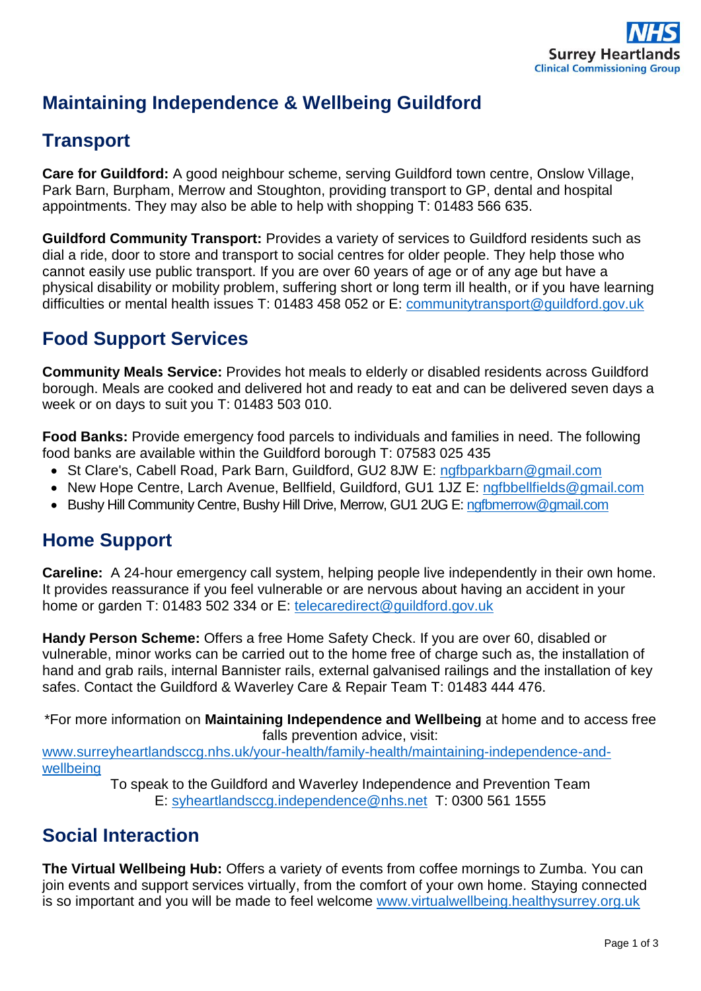

# **Maintaining Independence & Wellbeing Guildford**

## **Transport**

**Care for Guildford:** A good neighbour scheme, serving Guildford town centre, Onslow Village, Park Barn, Burpham, Merrow and Stoughton, providing transport to GP, dental and hospital appointments. They may also be able to help with shopping T: 01483 566 635.

**Guildford Community Transport:** Provides a variety of services to Guildford residents such as dial a ride, door to store and transport to social centres for older people. They help those who cannot easily use public transport. If you are over 60 years of age or of any age but have a physical disability or mobility problem, suffering short or long term ill health, or if you have learning difficulties or mental health issues T: 01483 458 052 or E: [communitytransport@guildford.gov.uk](mailto:communitytransport@guildford.gov.uk)

## **Food Support Services**

**Community Meals Service:** Provides hot meals to elderly or disabled residents across Guildford borough. Meals are cooked and delivered hot and ready to eat and can be delivered seven days a week or on days to suit you T: 01483 503 010.

**Food Banks:** Provide emergency food parcels to individuals and families in need. The following food banks are available within the Guildford borough T: 07583 025 435

- St Clare's, Cabell Road, Park Barn, Guildford, GU2 8JW E: [ngfbparkbarn@gmail.com](mailto:ngfbparkbarn@gmail.com)
- New Hope Centre, Larch Avenue, Bellfield, Guildford, GU1 1JZ E: [ngfbbellfields@gmail.com](mailto:ngfbbellfields@gmail.com)
- Bushy Hill Community Centre, Bushy Hill Drive, Merrow, GU1 2UG E[: ngfbmerrow@gmail.com](mailto:ngfbmerrow@gmail.com)

## **Home Support**

**Careline:** A 24-hour emergency call system, helping people live independently in their own home. It provides reassurance if you feel vulnerable or are nervous about having an accident in your home or garden T: 01483 502 334 or E: [telecaredirect@guildford.gov.uk](mailto:telecaredirect@guildford.gov.uk)

**Handy Person Scheme:** Offers a free Home Safety Check. If you are over 60, disabled or vulnerable, minor works can be carried out to the home free of charge such as, the installation of hand and grab rails, internal Bannister rails, external galvanised railings and the installation of key safes. Contact the Guildford & Waverley Care & Repair Team T: 01483 444 476.

\*For more information on **Maintaining Independence and Wellbeing** at home and to access free falls prevention advice, visit:

[www.surreyheartlandsccg.nhs.uk/your-health/family-health/maintaining-independence-and](http://www.surreyheartlandsccg.nhs.uk/your-health/family-health/maintaining-independence-and-wellbeing)[wellbeing](http://www.surreyheartlandsccg.nhs.uk/your-health/family-health/maintaining-independence-and-wellbeing)

To speak to the Guildford and Waverley Independence and Prevention Team E: [syheartlandsccg.independence@nhs.net](mailto:syheartlandsccg.independence@nhs.net) T: 0300 561 1555

## **Social Interaction**

**The Virtual Wellbeing Hub:** Offers a variety of events from coffee mornings to Zumba. You can join events and support services virtually, from the comfort of your own home. Staying connected is so important and you will be made to feel welcome [www.virtualwellbeing.healthysurrey.org.uk](http://www.virtualwellbeing.healthysurrey.org.uk/)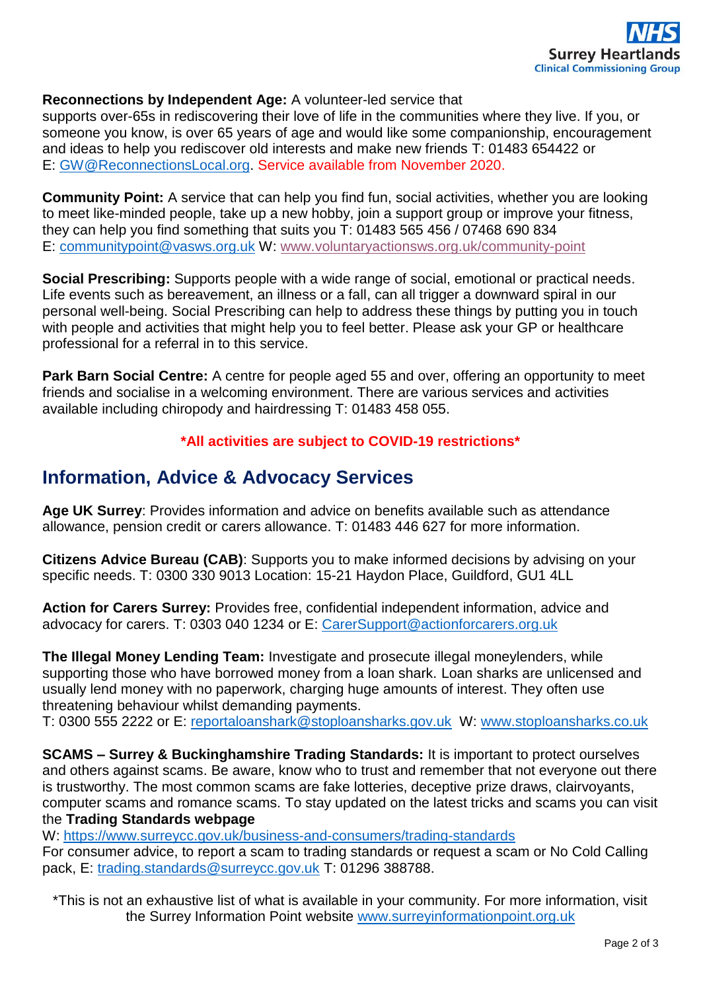

#### **Reconnections by Independent Age:** A volunteer-led service that

supports over-65s in rediscovering their love of life in the communities where they live. If you, or someone you know, is over 65 years of age and would like some companionship, encouragement and ideas to help you rediscover old interests and make new friends T: 01483 654422 or E: [GW@ReconnectionsLocal.org.](mailto:GW@ReconnectionsLocal.org) Service available from November 2020.

**Community Point:** A service that can help you find fun, social activities, whether you are looking to meet like-minded people, take up a new hobby, join a support group or improve your fitness, they can help you find something that suits you T: 01483 565 456 / 07468 690 834 E: [communitypoint@vasws.org.uk](mailto:communitypoint@vasws.org.uk) W: [www.voluntaryactionsws.org.uk/community-point](http://www.voluntaryactionsws.org.uk/community-point)

**Social Prescribing:** Supports people with a wide range of social, emotional or practical needs. Life events such as bereavement, an illness or a fall, can all trigger a downward spiral in our personal well-being. Social Prescribing can help to address these things by putting you in touch with people and activities that might help you to feel better. Please ask your GP or healthcare professional for a referral in to this service.

**Park Barn Social Centre:** A centre for people aged 55 and over, offering an opportunity to meet friends and socialise in a welcoming environment. There are various services and activities available including chiropody and hairdressing T: 01483 458 055.

**\*All activities are subject to COVID-19 restrictions\***

### **Information, Advice & Advocacy Services**

**Age UK Surrey**: Provides information and advice on benefits available such as attendance allowance, pension credit or carers allowance. T: 01483 446 627 for more information.

**Citizens Advice Bureau (CAB)**: Supports you to make informed decisions by advising on your specific needs. T: 0300 330 9013 Location: 15-21 Haydon Place, Guildford, GU1 4LL

**Action for Carers Surrey:** Provides free, confidential independent information, advice and advocacy for carers. T: 0303 040 1234 or E: [CarerSupport@actionforcarers.org.uk](mailto:CarerSupport@actionforcarers.org.uk)

**The Illegal Money Lending Team:** Investigate and prosecute illegal moneylenders, while supporting those who have borrowed money from a loan shark. Loan sharks are unlicensed and usually lend money with no paperwork, charging huge amounts of interest. They often use threatening behaviour whilst demanding payments.

T: 0300 555 2222 or E: [reportaloanshark@stoploansharks.gov.uk](mailto:reportaloanshark@stoploansharks.gov.uk) W: [www.stoploansharks.co.uk](http://www.stoploansharks.co.uk/)

**SCAMS – Surrey & Buckinghamshire Trading Standards:** It is important to protect ourselves and others against scams. Be aware, know who to trust and remember that not everyone out there is trustworthy. The most common scams are fake lotteries, deceptive prize draws, clairvoyants, computer scams and romance scams. To stay updated on the latest tricks and scams you can visit the **Trading Standards webpage** 

W:<https://www.surreycc.gov.uk/business-and-consumers/trading-standards>

For consumer advice, to report a scam to trading standards or request a scam or No Cold Calling pack, E: [trading.standards@surreycc.gov.uk](mailto:trading.standards@surreycc.gov.uk) T: 01296 388788.

\*This is not an exhaustive list of what is available in your community. For more information, visit the Surrey Information Point website [www.surreyinformationpoint.org.uk](http://www.surreyinformationpoint.org.uk/)